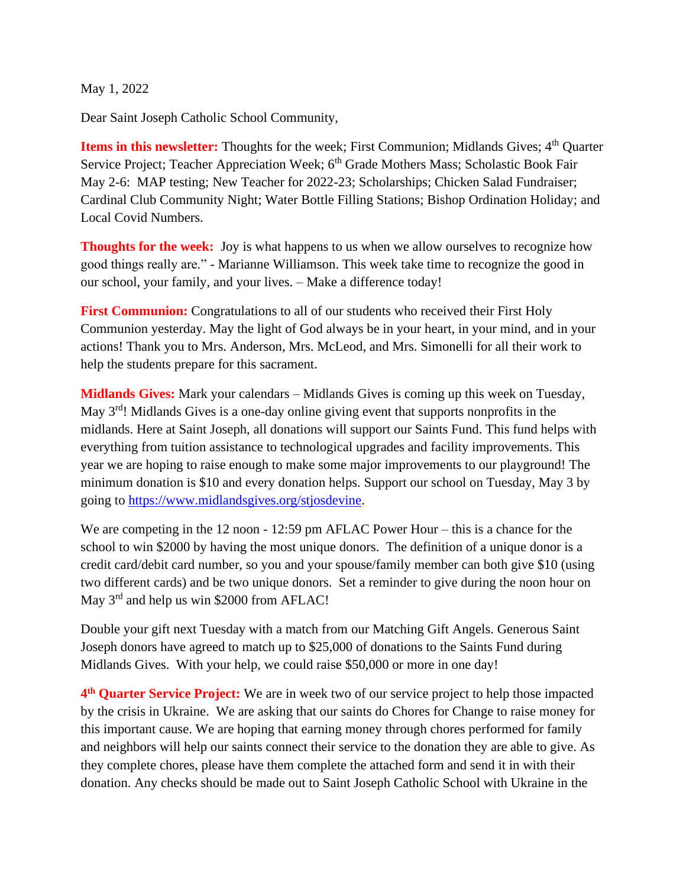May 1, 2022

Dear Saint Joseph Catholic School Community,

**Items in this newsletter:** Thoughts for the week; First Communion; Midlands Gives; 4<sup>th</sup> Quarter Service Project; Teacher Appreciation Week; 6<sup>th</sup> Grade Mothers Mass; Scholastic Book Fair May 2-6: MAP testing; New Teacher for 2022-23; Scholarships; Chicken Salad Fundraiser; Cardinal Club Community Night; Water Bottle Filling Stations; Bishop Ordination Holiday; and Local Covid Numbers.

**Thoughts for the week:** Joy is what happens to us when we allow ourselves to recognize how good things really are." - Marianne Williamson. This week take time to recognize the good in our school, your family, and your lives. – Make a difference today!

**First Communion:** Congratulations to all of our students who received their First Holy Communion yesterday. May the light of God always be in your heart, in your mind, and in your actions! Thank you to Mrs. Anderson, Mrs. McLeod, and Mrs. Simonelli for all their work to help the students prepare for this sacrament.

**Midlands Gives:** Mark your calendars – Midlands Gives is coming up this week on Tuesday, May  $3<sup>rd</sup>$ ! Midlands Gives is a one-day online giving event that supports nonprofits in the midlands. Here at Saint Joseph, all donations will support our Saints Fund. This fund helps with everything from tuition assistance to technological upgrades and facility improvements. This year we are hoping to raise enough to make some major improvements to our playground! The minimum donation is \$10 and every donation helps. Support our school on Tuesday, May 3 by going to [https://www.midlandsgives.org/stjosdevine.](https://www.midlandsgives.org/stjosdevine?fbclid=IwAR3RIRTzqSxqMG-1Dk9N2f86gMA4unTch86tI0MJFhKVi15v0E-OLjnFKT0)

We are competing in the 12 noon - 12:59 pm AFLAC Power Hour – this is a chance for the school to win \$2000 by having the most unique donors. The definition of a unique donor is a credit card/debit card number, so you and your spouse/family member can both give \$10 (using two different cards) and be two unique donors. Set a reminder to give during the noon hour on May 3<sup>rd</sup> and help us win \$2000 from AFLAC!

Double your gift next Tuesday with a match from our Matching Gift Angels. Generous Saint Joseph donors have agreed to match up to \$25,000 of donations to the Saints Fund during Midlands Gives. With your help, we could raise \$50,000 or more in one day!

**4 th Quarter Service Project:** We are in week two of our service project to help those impacted by the crisis in Ukraine. We are asking that our saints do Chores for Change to raise money for this important cause. We are hoping that earning money through chores performed for family and neighbors will help our saints connect their service to the donation they are able to give. As they complete chores, please have them complete the attached form and send it in with their donation. Any checks should be made out to Saint Joseph Catholic School with Ukraine in the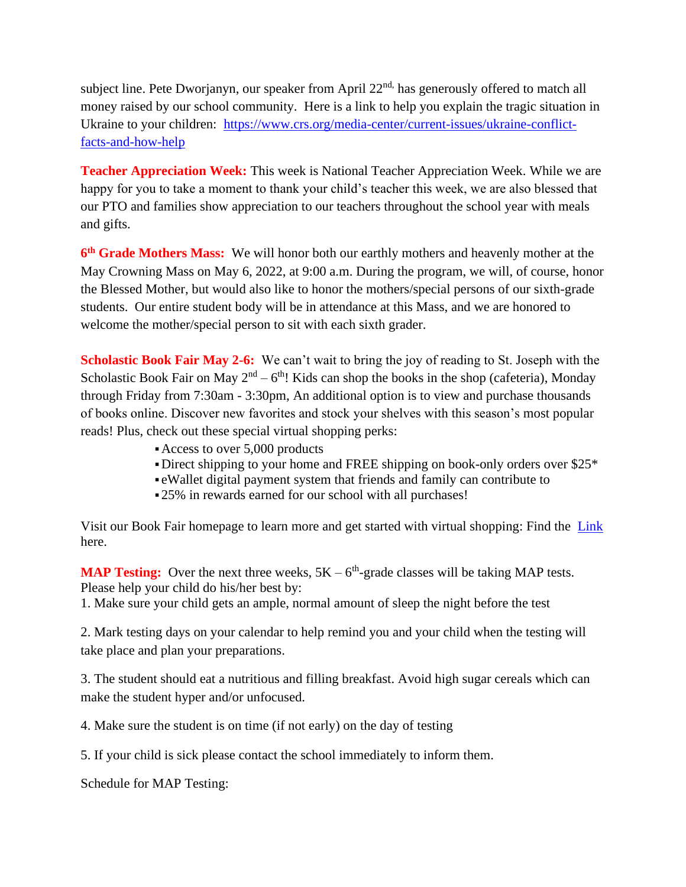subject line. Pete Dworjanyn, our speaker from April 22<sup>nd,</sup> has generously offered to match all money raised by our school community. Here is a link to help you explain the tragic situation in Ukraine to your children: [https://www.crs.org/media-center/current-issues/ukraine-conflict](https://www.crs.org/media-center/current-issues/ukraine-conflict-facts-and-how-help)[facts-and-how-help](https://www.crs.org/media-center/current-issues/ukraine-conflict-facts-and-how-help)

**Teacher Appreciation Week:** This week is National Teacher Appreciation Week. While we are happy for you to take a moment to thank your child's teacher this week, we are also blessed that our PTO and families show appreciation to our teachers throughout the school year with meals and gifts.

**6<sup>th</sup> Grade Mothers Mass:** We will honor both our earthly mothers and heavenly mother at the May Crowning Mass on May 6, 2022, at 9:00 a.m. During the program, we will, of course, honor the Blessed Mother, but would also like to honor the mothers/special persons of our sixth-grade students. Our entire student body will be in attendance at this Mass, and we are honored to welcome the mother/special person to sit with each sixth grader.

**Scholastic Book Fair May 2-6:** We can't wait to bring the joy of reading to St. Joseph with the Scholastic Book Fair on May  $2<sup>nd</sup> - 6<sup>th</sup>$ ! Kids can shop the books in the shop (cafeteria), Monday through Friday from 7:30am - 3:30pm, An additional option is to view and purchase thousands of books online. Discover new favorites and stock your shelves with this season's most popular reads! Plus, check out these special virtual shopping perks:

- ▪Access to over 5,000 products
- Direct shipping to your home and FREE shipping on book-only orders over \$25\*
- eWallet digital payment system that friends and family can contribute to
- ▪25% in rewards earned for our school with all purchases!

Visit our Book Fair homepage to learn more and get started with virtual shopping: Find the [Link](https://bookfairs.scholastic.com/bookfairs/cptoolkit/homepage.do?method=homepage&url=stjosephsch55) here.

**MAP Testing:** Over the next three weeks,  $5K - 6<sup>th</sup>$ -grade classes will be taking MAP tests. Please help your child do his/her best by:

1. Make sure your child gets an ample, normal amount of sleep the night before the test

2. Mark testing days on your calendar to help remind you and your child when the testing will take place and plan your preparations.

3. The student should eat a nutritious and filling breakfast. Avoid high sugar cereals which can make the student hyper and/or unfocused.

4. Make sure the student is on time (if not early) on the day of testing

5. If your child is sick please contact the school immediately to inform them.

Schedule for MAP Testing: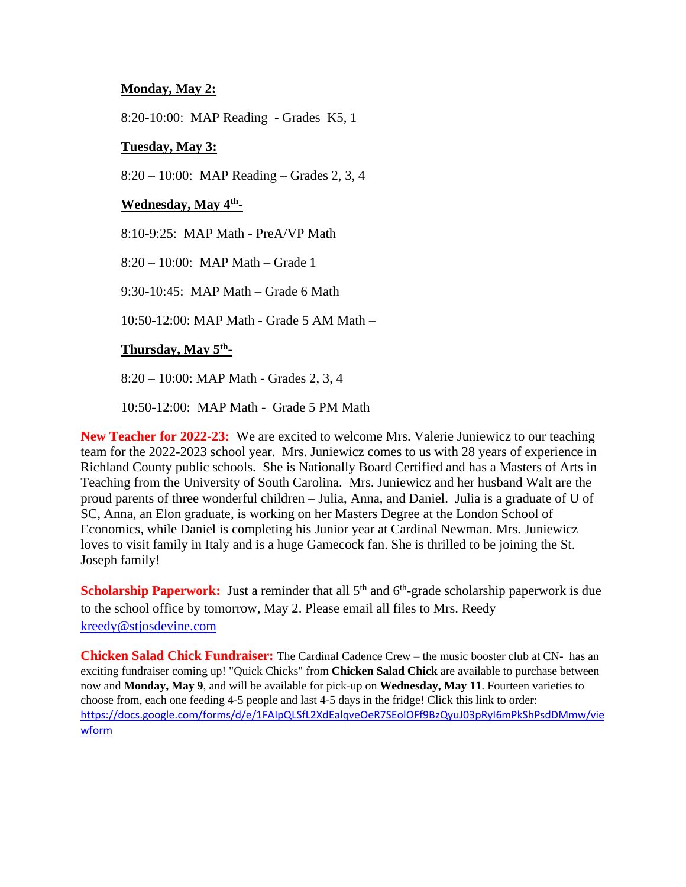## **Monday, May 2:**

8:20-10:00: MAP Reading - Grades K5, 1

## **Tuesday, May 3:**

8:20 – 10:00: MAP Reading – Grades 2, 3, 4

## **Wednesday, May 4th -**

8:10-9:25: MAP Math - PreA/VP Math

8:20 – 10:00: MAP Math – Grade 1

9:30-10:45: MAP Math – Grade 6 Math

10:50-12:00: MAP Math - Grade 5 AM Math –

## **Thursday, May 5th -**

8:20 – 10:00: MAP Math - Grades 2, 3, 4

10:50-12:00: MAP Math - Grade 5 PM Math

**New Teacher for 2022-23:** We are excited to welcome Mrs. Valerie Juniewicz to our teaching team for the 2022-2023 school year. Mrs. Juniewicz comes to us with 28 years of experience in Richland County public schools. She is Nationally Board Certified and has a Masters of Arts in Teaching from the University of South Carolina. Mrs. Juniewicz and her husband Walt are the proud parents of three wonderful children – Julia, Anna, and Daniel. Julia is a graduate of U of SC, Anna, an Elon graduate, is working on her Masters Degree at the London School of Economics, while Daniel is completing his Junior year at Cardinal Newman. Mrs. Juniewicz loves to visit family in Italy and is a huge Gamecock fan. She is thrilled to be joining the St. Joseph family!

**Scholarship Paperwork:** Just a reminder that all 5<sup>th</sup> and 6<sup>th</sup>-grade scholarship paperwork is due to the school office by tomorrow, May 2. Please email all files to Mrs. Reedy [kreedy@stjosdevine.com](mailto:kreedy@stjosdevine.com)

**Chicken Salad Chick Fundraiser:** The Cardinal Cadence Crew – the music booster club at CN- has an exciting fundraiser coming up! "Quick Chicks" from **Chicken Salad Chick** are available to purchase between now and **Monday, May 9**, and will be available for pick-up on **Wednesday, May 11**. Fourteen varieties to choose from, each one feeding 4-5 people and last 4-5 days in the fridge! Click this link to order: [https://docs.google.com/forms/d/e/1FAIpQLSfL2XdEalqveOeR7SEolOFf9BzQyuJ03pRyI6mPkShPsdDMmw/vie](https://docs.google.com/forms/d/e/1FAIpQLSfL2XdEalqveOeR7SEolOFf9BzQyuJ03pRyI6mPkShPsdDMmw/viewform) [wform](https://docs.google.com/forms/d/e/1FAIpQLSfL2XdEalqveOeR7SEolOFf9BzQyuJ03pRyI6mPkShPsdDMmw/viewform)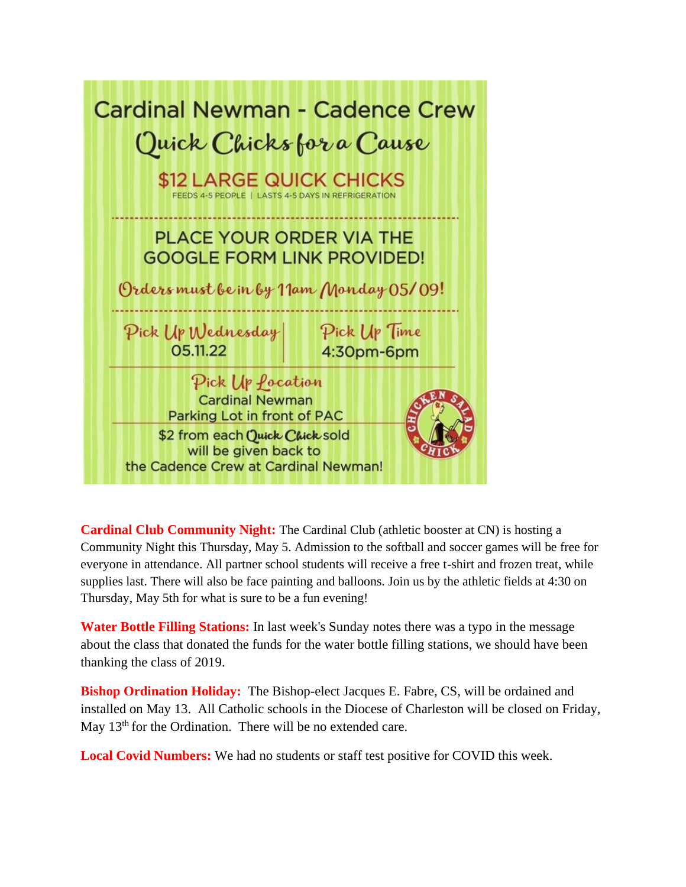| <b>Cardinal Newman - Cadence Crew</b><br>Quick Chicks for a Cause<br>\$12 LARGE QUICK CHICKS<br>FEEDS 4-5 PEOPLE   LASTS 4-5 DAYS IN REFRIGERATION |                            |
|----------------------------------------------------------------------------------------------------------------------------------------------------|----------------------------|
| <b>PLACE YOUR ORDER VIA THE</b><br><b>GOOGLE FORM LINK PROVIDED!</b><br>Orders must be in by 11am Monday 05/09!                                    |                            |
| Pick Up Wednesday<br>05.11.22                                                                                                                      | Pick Up Time<br>4:30pm-6pm |
| Pick Up <i>Pocation</i><br><b>Cardinal Newman</b><br>Parking Lot in front of PAC                                                                   |                            |
| \$2 from each Quick Chick sold<br>will be given back to<br>the Cadence Crew at Cardinal Newman!                                                    |                            |

**Cardinal Club Community Night:** The Cardinal Club (athletic booster at CN) is hosting a Community Night this Thursday, May 5. Admission to the softball and soccer games will be free for everyone in attendance. All partner school students will receive a free t-shirt and frozen treat, while supplies last. There will also be face painting and balloons. Join us by the athletic fields at 4:30 on Thursday, May 5th for what is sure to be a fun evening!

**Water Bottle Filling Stations:** In last week's Sunday notes there was a typo in the message about the class that donated the funds for the water bottle filling stations, we should have been thanking the class of 2019.

**Bishop Ordination Holiday:** The Bishop-elect Jacques E. Fabre, CS, will be ordained and installed on May 13. All Catholic schools in the Diocese of Charleston will be closed on Friday, May 13<sup>th</sup> for the Ordination. There will be no extended care.

**Local Covid Numbers:** We had no students or staff test positive for COVID this week.